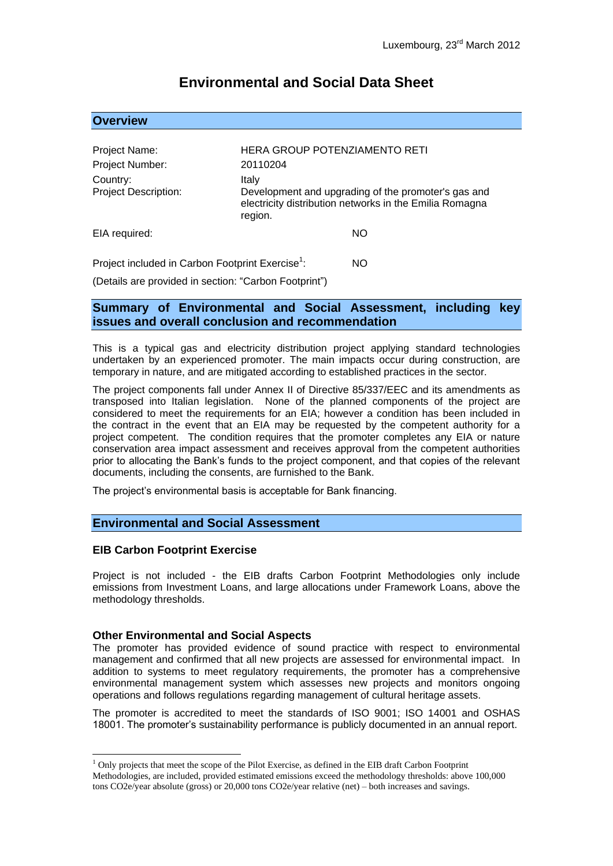# **Environmental and Social Data Sheet**

## **Overview**

| Project Name:                                                |                                                                                                                                    | HERA GROUP POTENZIAMENTO RETI |
|--------------------------------------------------------------|------------------------------------------------------------------------------------------------------------------------------------|-------------------------------|
| Project Number:                                              | 20110204                                                                                                                           |                               |
| Country:<br><b>Project Description:</b>                      | Italy<br>Development and upgrading of the promoter's gas and<br>electricity distribution networks in the Emilia Romagna<br>region. |                               |
| EIA required:                                                |                                                                                                                                    | NO                            |
| Project included in Carbon Footprint Exercise <sup>1</sup> : |                                                                                                                                    | NΟ                            |

(Details are provided in section: "Carbon Footprint")

## **Summary of Environmental and Social Assessment, including key issues and overall conclusion and recommendation**

This is a typical gas and electricity distribution project applying standard technologies undertaken by an experienced promoter. The main impacts occur during construction, are temporary in nature, and are mitigated according to established practices in the sector.

The project components fall under Annex II of Directive 85/337/EEC and its amendments as transposed into Italian legislation. None of the planned components of the project are considered to meet the requirements for an EIA; however a condition has been included in the contract in the event that an EIA may be requested by the competent authority for a project competent. The condition requires that the promoter completes any EIA or nature conservation area impact assessment and receives approval from the competent authorities prior to allocating the Bank's funds to the project component, and that copies of the relevant documents, including the consents, are furnished to the Bank.

The project's environmental basis is acceptable for Bank financing.

## **Environmental and Social Assessment**

#### **EIB Carbon Footprint Exercise**

<u>.</u>

Project is not included - the EIB drafts Carbon Footprint Methodologies only include emissions from Investment Loans, and large allocations under Framework Loans, above the methodology thresholds.

#### **Other Environmental and Social Aspects**

The promoter has provided evidence of sound practice with respect to environmental management and confirmed that all new projects are assessed for environmental impact. In addition to systems to meet regulatory requirements, the promoter has a comprehensive environmental management system which assesses new projects and monitors ongoing operations and follows regulations regarding management of cultural heritage assets.

The promoter is accredited to meet the standards of ISO 9001; ISO 14001 and OSHAS 18001. The promoter's sustainability performance is publicly documented in an annual report.

 $<sup>1</sup>$  Only projects that meet the scope of the Pilot Exercise, as defined in the EIB draft Carbon Footprint</sup> Methodologies, are included, provided estimated emissions exceed the methodology thresholds: above 100,000 tons CO2e/year absolute (gross) or 20,000 tons CO2e/year relative (net) – both increases and savings.